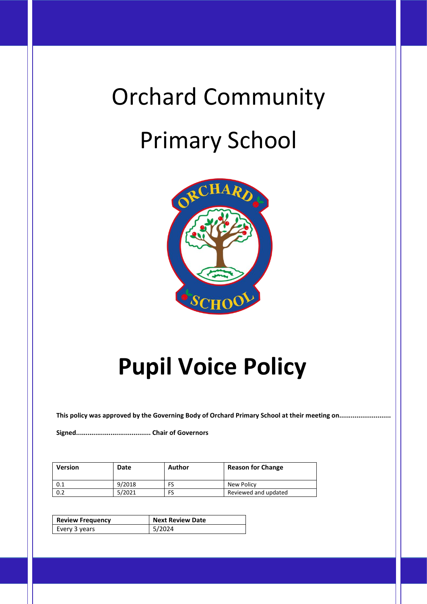# Orchard Community Primary School



# **Pupil Voice Policy**

**This policy was approved by the Governing Body of Orchard Primary School at their meeting on...........................**

**Signed....................................... Chair of Governors**

| <b>Version</b> | Date   | Author | <b>Reason for Change</b> |
|----------------|--------|--------|--------------------------|
| 0.1            | 9/2018 |        | New Policy               |
| 0.2            | 5/2021 |        | Reviewed and updated     |

| <b>Review Frequency</b> | Next Review Date |  |
|-------------------------|------------------|--|
| Every 3 years           | 15/2024          |  |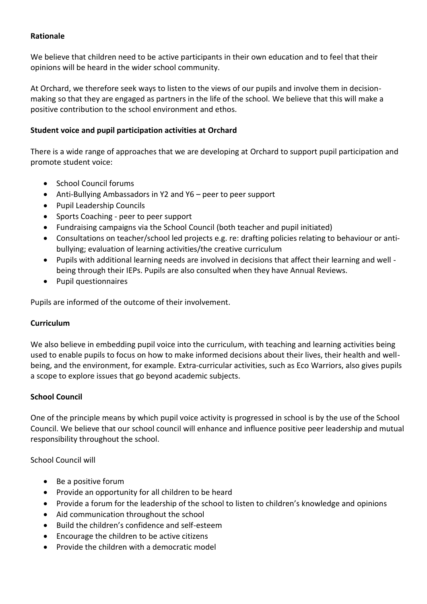#### **Rationale**

We believe that children need to be active participants in their own education and to feel that their opinions will be heard in the wider school community.

At Orchard, we therefore seek ways to listen to the views of our pupils and involve them in decisionmaking so that they are engaged as partners in the life of the school. We believe that this will make a positive contribution to the school environment and ethos.

#### **Student voice and pupil participation activities at Orchard**

There is a wide range of approaches that we are developing at Orchard to support pupil participation and promote student voice:

- School Council forums
- Anti-Bullying Ambassadors in Y2 and Y6 peer to peer support
- Pupil Leadership Councils
- Sports Coaching peer to peer support
- Fundraising campaigns via the School Council (both teacher and pupil initiated)
- Consultations on teacher/school led projects e.g. re: drafting policies relating to behaviour or antibullying; evaluation of learning activities/the creative curriculum
- Pupils with additional learning needs are involved in decisions that affect their learning and well being through their IEPs. Pupils are also consulted when they have Annual Reviews.
- Pupil questionnaires

Pupils are informed of the outcome of their involvement.

#### **Curriculum**

We also believe in embedding pupil voice into the curriculum, with teaching and learning activities being used to enable pupils to focus on how to make informed decisions about their lives, their health and wellbeing, and the environment, for example. Extra-curricular activities, such as Eco Warriors, also gives pupils a scope to explore issues that go beyond academic subjects.

#### **School Council**

One of the principle means by which pupil voice activity is progressed in school is by the use of the School Council. We believe that our school council will enhance and influence positive peer leadership and mutual responsibility throughout the school.

School Council will

- Be a positive forum
- Provide an opportunity for all children to be heard
- Provide a forum for the leadership of the school to listen to children's knowledge and opinions
- Aid communication throughout the school
- Build the children's confidence and self-esteem
- Encourage the children to be active citizens
- Provide the children with a democratic model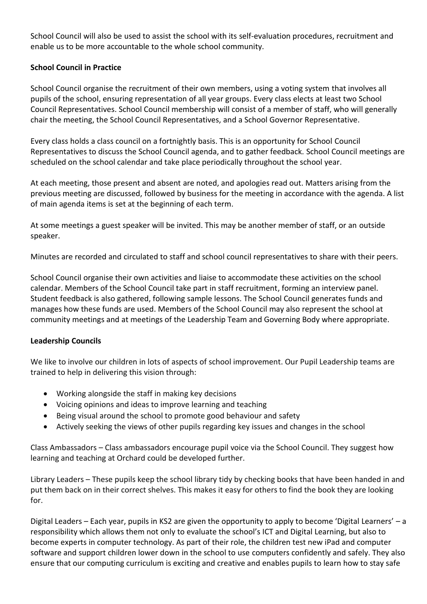School Council will also be used to assist the school with its self-evaluation procedures, recruitment and enable us to be more accountable to the whole school community.

## **School Council in Practice**

School Council organise the recruitment of their own members, using a voting system that involves all pupils of the school, ensuring representation of all year groups. Every class elects at least two School Council Representatives. School Council membership will consist of a member of staff, who will generally chair the meeting, the School Council Representatives, and a School Governor Representative.

Every class holds a class council on a fortnightly basis. This is an opportunity for School Council Representatives to discuss the School Council agenda, and to gather feedback. School Council meetings are scheduled on the school calendar and take place periodically throughout the school year.

At each meeting, those present and absent are noted, and apologies read out. Matters arising from the previous meeting are discussed, followed by business for the meeting in accordance with the agenda. A list of main agenda items is set at the beginning of each term.

At some meetings a guest speaker will be invited. This may be another member of staff, or an outside speaker.

Minutes are recorded and circulated to staff and school council representatives to share with their peers.

School Council organise their own activities and liaise to accommodate these activities on the school calendar. Members of the School Council take part in staff recruitment, forming an interview panel. Student feedback is also gathered, following sample lessons. The School Council generates funds and manages how these funds are used. Members of the School Council may also represent the school at community meetings and at meetings of the Leadership Team and Governing Body where appropriate.

#### **Leadership Councils**

We like to involve our children in lots of aspects of school improvement. Our Pupil Leadership teams are trained to help in delivering this vision through:

- Working alongside the staff in making key decisions
- Voicing opinions and ideas to improve learning and teaching
- Being visual around the school to promote good behaviour and safety
- Actively seeking the views of other pupils regarding key issues and changes in the school

Class Ambassadors – Class ambassadors encourage pupil voice via the School Council. They suggest how learning and teaching at Orchard could be developed further.

Library Leaders – These pupils keep the school library tidy by checking books that have been handed in and put them back on in their correct shelves. This makes it easy for others to find the book they are looking for.

Digital Leaders – Each year, pupils in KS2 are given the opportunity to apply to become 'Digital Learners' – a responsibility which allows them not only to evaluate the school's ICT and Digital Learning, but also to become experts in computer technology. As part of their role, the children test new iPad and computer software and support children lower down in the school to use computers confidently and safely. They also ensure that our computing curriculum is exciting and creative and enables pupils to learn how to stay safe